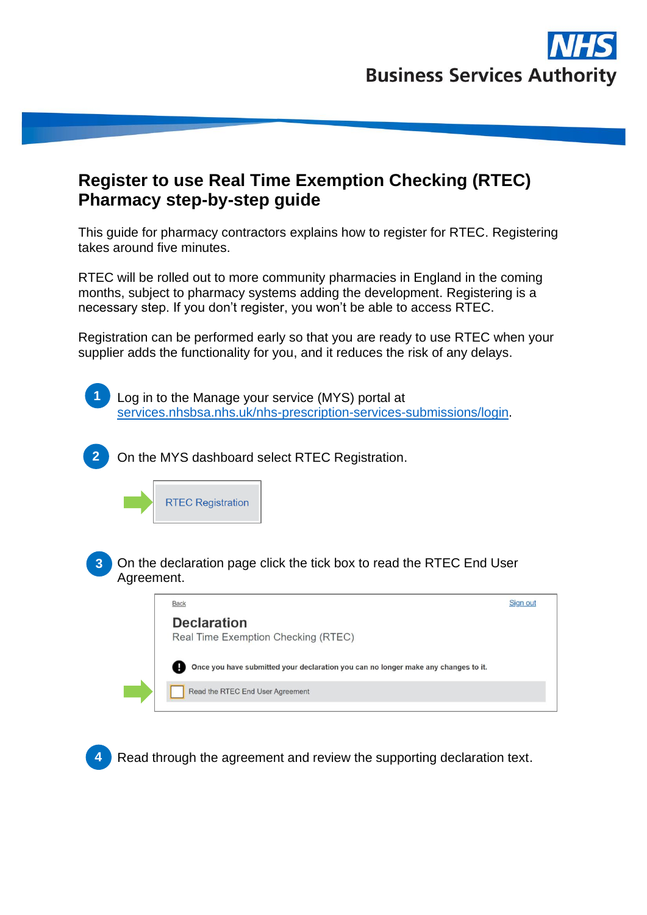

## **Register to use Real Time Exemption Checking (RTEC) Pharmacy step-by-step guide**

This guide for pharmacy contractors explains how to register for RTEC. Registering takes around five minutes.

RTEC will be rolled out to more community pharmacies in England in the coming months, subject to pharmacy systems adding the development. Registering is a necessary step. If you don't register, you won't be able to access RTEC.

Registration can be performed early so that you are ready to use RTEC when your supplier adds the functionality for you, and it reduces the risk of any delays.





Read through the agreement and review the supporting declaration text.